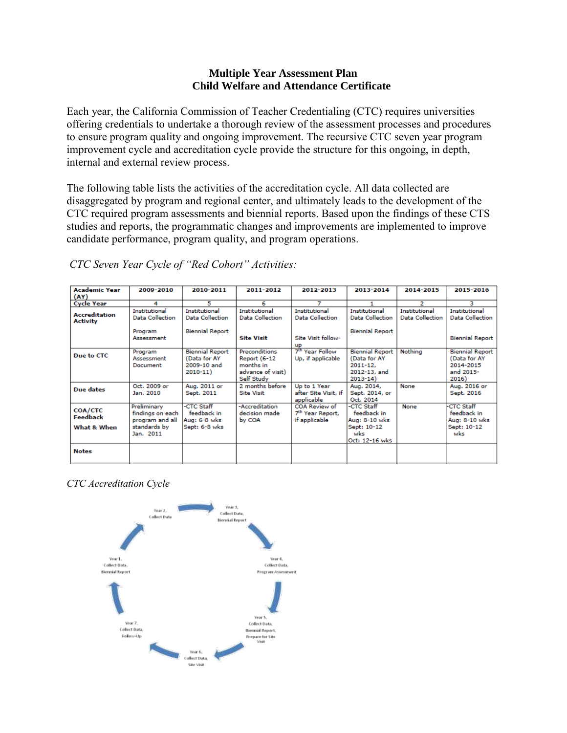#### **Multiple Year Assessment Plan Child Welfare and Attendance Certificate**

Each year, the California Commission of Teacher Credentialing (CTC) requires universities offering credentials to undertake a thorough review of the assessment processes and procedures to ensure program quality and ongoing improvement. The recursive CTC seven year program improvement cycle and accreditation cycle provide the structure for this ongoing, in depth, internal and external review process.

The following table lists the activities of the accreditation cycle. All data collected are disaggregated by program and regional center, and ultimately leads to the development of the CTC required program assessments and biennial reports. Based upon the findings of these CTS studies and reports, the programmatic changes and improvements are implemented to improve candidate performance, program quality, and program operations.

| <b>Academic Year</b><br>(AY)            | 2009-2010                                                                       | 2010-2011                                                            | 2011-2012                                                                                   | 2012-2013                                                      | 2013-2014                                                                             | 2014-2015                               | 2015-2016                                                                 |
|-----------------------------------------|---------------------------------------------------------------------------------|----------------------------------------------------------------------|---------------------------------------------------------------------------------------------|----------------------------------------------------------------|---------------------------------------------------------------------------------------|-----------------------------------------|---------------------------------------------------------------------------|
| <b>Cycle Year</b>                       | 4                                                                               | 5                                                                    | 6                                                                                           |                                                                |                                                                                       | 2                                       | з                                                                         |
| <b>Accreditation</b><br><b>Activity</b> | <b>Institutional</b><br><b>Data Collection</b>                                  | <b>Institutional</b><br><b>Data Collection</b>                       | <b>Institutional</b><br><b>Data Collection</b>                                              | <b>Institutional</b><br><b>Data Collection</b>                 | Institutional<br>Data Collection                                                      | Institutional<br><b>Data Collection</b> | <b>Institutional</b><br><b>Data Collection</b>                            |
|                                         | Program<br>Assessment                                                           | <b>Biennial Report</b>                                               | <b>Site Visit</b>                                                                           | Site Visit follow-<br><b>UD</b>                                | <b>Biennial Report</b>                                                                |                                         | <b>Biennial Report</b>                                                    |
| Due to CTC                              | Program<br>Assessment<br>Document                                               | <b>Biennial Report</b><br>(Data for AY<br>2009-10 and<br>$2010 - 11$ | <b>Preconditions</b><br><b>Report (6-12</b><br>months in<br>advance of visit)<br>Self Study | 7 <sup>th</sup> Year Follow<br>Up, if applicable               | <b>Biennial Report</b><br>(Data for AY<br>$2011 - 12.$<br>2012-13, and<br>$2013 - 14$ | Nothing                                 | <b>Biennial Report</b><br>(Data for AY<br>2014-2015<br>and 2015-<br>2016) |
| Due dates                               | Oct. 2009 or<br>Jan. 2010                                                       | Aug. 2011 or<br>Sept. 2011                                           | 2 months before<br><b>Site Visit</b>                                                        | Up to 1 Year<br>after Site Visit, if<br>applicable             | Aug. 2014,<br>Sept. 2014, or<br>Oct. 2014                                             | None                                    | Aug. 2016 or<br>Sept. 2016                                                |
| COA/CTC<br>Feedback<br>What & When      | Preliminary<br>findings on each<br>program and all<br>standards by<br>Jan. 2011 | -CTC Staff<br>feedback in<br>Aug: 6-8 wks<br>Sept: 6-8 wks           | -Accreditation<br>decision made<br>by COA                                                   | COA Review of<br>7 <sup>th</sup> Year Report,<br>if applicable | -CTC Staff<br>feedback in<br>Aug: 8-10 wks<br>Sept: 10-12<br>wks<br>Oct: 12-16 wks    | None                                    | <b>CTC Staff</b><br>feedback in<br>Aug: 8-10 wks<br>Sept: 10-12<br>wks    |
| <b>Notes</b>                            |                                                                                 |                                                                      |                                                                                             |                                                                |                                                                                       |                                         |                                                                           |

*CTC Seven Year Cycle of "Red Cohort" Activities:*

# *CTC Accreditation Cycle*

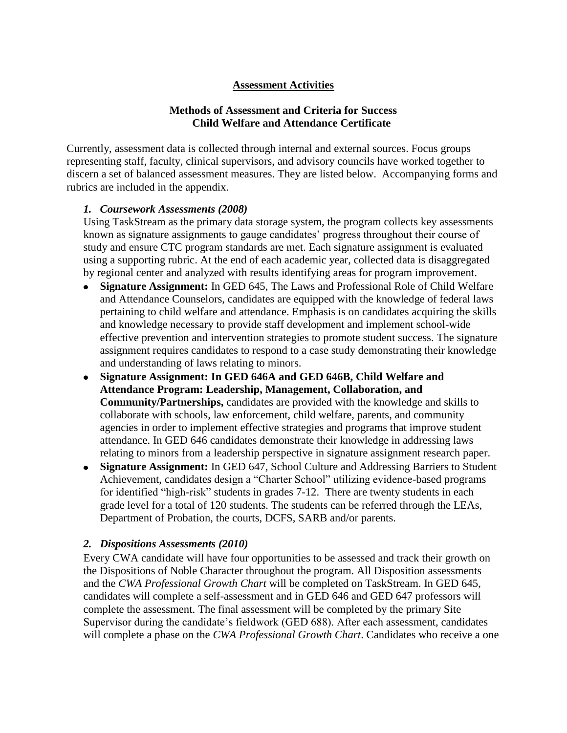### **Assessment Activities**

# **Methods of Assessment and Criteria for Success Child Welfare and Attendance Certificate**

Currently, assessment data is collected through internal and external sources. Focus groups representing staff, faculty, clinical supervisors, and advisory councils have worked together to discern a set of balanced assessment measures. They are listed below. Accompanying forms and rubrics are included in the appendix.

### *1. Coursework Assessments (2008)*

Using TaskStream as the primary data storage system, the program collects key assessments known as signature assignments to gauge candidates' progress throughout their course of study and ensure CTC program standards are met. Each signature assignment is evaluated using a supporting rubric. At the end of each academic year, collected data is disaggregated by regional center and analyzed with results identifying areas for program improvement.

- **Signature Assignment:** In GED 645, The Laws and Professional Role of Child Welfare and Attendance Counselors, candidates are equipped with the knowledge of federal laws pertaining to child welfare and attendance. Emphasis is on candidates acquiring the skills and knowledge necessary to provide staff development and implement school-wide effective prevention and intervention strategies to promote student success. The signature assignment requires candidates to respond to a case study demonstrating their knowledge and understanding of laws relating to minors.
- **Signature Assignment: In GED 646A and GED 646B, Child Welfare and Attendance Program: Leadership, Management, Collaboration, and Community/Partnerships,** candidates are provided with the knowledge and skills to collaborate with schools, law enforcement, child welfare, parents, and community agencies in order to implement effective strategies and programs that improve student attendance. In GED 646 candidates demonstrate their knowledge in addressing laws relating to minors from a leadership perspective in signature assignment research paper.
- **Signature Assignment:** In GED 647, School Culture and Addressing Barriers to Student Achievement, candidates design a "Charter School" utilizing evidence-based programs for identified "high-risk" students in grades 7-12. There are twenty students in each grade level for a total of 120 students. The students can be referred through the LEAs, Department of Probation, the courts, DCFS, SARB and/or parents.

# *2. Dispositions Assessments (2010)*

Every CWA candidate will have four opportunities to be assessed and track their growth on the Dispositions of Noble Character throughout the program. All Disposition assessments and the *CWA Professional Growth Chart* will be completed on TaskStream. In GED 645, candidates will complete a self-assessment and in GED 646 and GED 647 professors will complete the assessment. The final assessment will be completed by the primary Site Supervisor during the candidate's fieldwork (GED 688). After each assessment, candidates will complete a phase on the *CWA Professional Growth Chart*. Candidates who receive a one